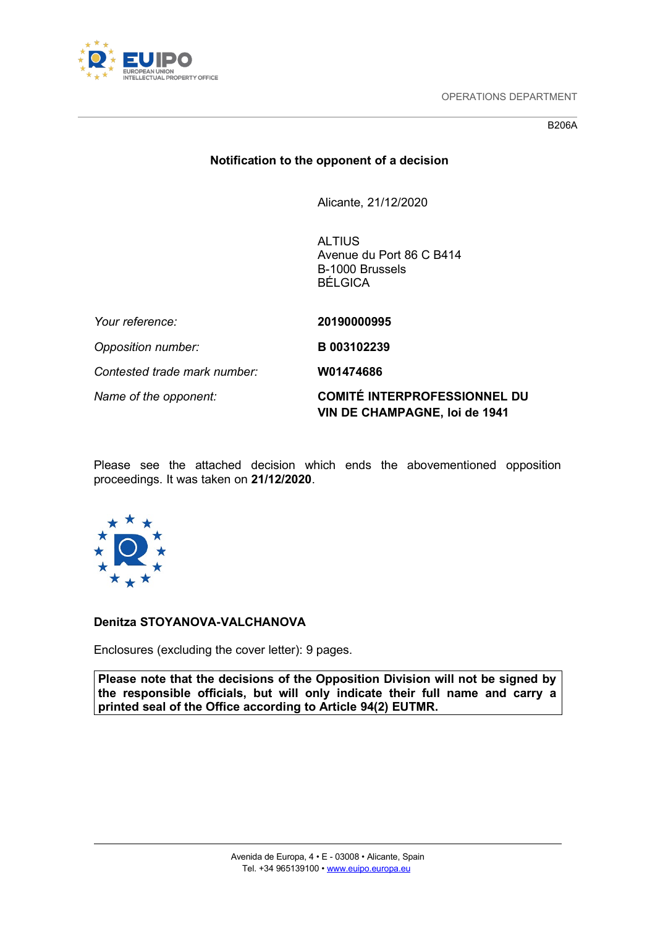

OPERATIONS DEPARTMENT

B206A

# **Notification to the opponent of a decision**

Alicante, 21/12/2020

**ALTIUS** Avenue du Port 86 C B414 B-1000 Brussels BÉLGICA

| Your reference:              | 20190000995                                                                 |
|------------------------------|-----------------------------------------------------------------------------|
| Opposition number:           | B 003102239                                                                 |
| Contested trade mark number: | W01474686                                                                   |
| Name of the opponent:        | <b>COMITÉ INTERPROFESSIONNEL DU</b><br><b>VIN DE CHAMPAGNE, loi de 1941</b> |

Please see the attached decision which ends the abovementioned opposition proceedings. It was taken on **21/12/2020**.



## **Denitza STOYANOVA-VALCHANOVA**

Enclosures (excluding the cover letter): 9 pages.

**Please note that the decisions of the Opposition Division will not be signed by the responsible officials, but will only indicate their full name and carry a printed seal of the Office according to Article 94(2) EUTMR.**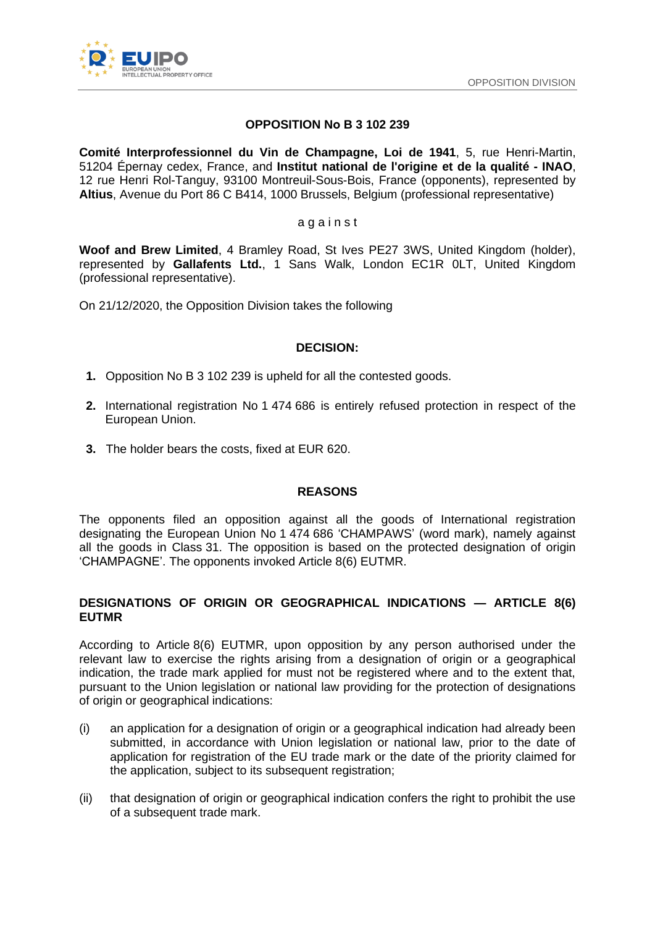

## **OPPOSITION Nо B 3 102 239**

**Comité Interprofessionnel du Vin de Champagne, Loi de 1941**, 5, rue Henri-Martin, 51204 Épernay cedex, France, and **Institut national de l'origine et de la qualité - INAO**, 12 rue Henri Rol-Tanguy, 93100 Montreuil-Sous-Bois, France (opponents), represented by **Altius**, Avenue du Port 86 C B414, 1000 Brussels, Belgium (professional representative)

#### a g a i n s t

**Woof and Brew Limited**, 4 Bramley Road, St Ives PE27 3WS, United Kingdom (holder), represented by **Gallafents Ltd.**, 1 Sans Walk, London EC1R 0LT, United Kingdom (professional representative).

On 21/12/2020, the Opposition Division takes the following

## **DECISION:**

- **1.** Opposition No B 3 102 239 is upheld for all the contested goods.
- **2.** International registration No 1 474 686 is entirely refused protection in respect of the European Union.
- **3.** The holder bears the costs, fixed at EUR 620.

## **REASONS**

The opponents filed an opposition against all the goods of International registration designating the European Union No 1 474 686 'CHAMPAWS' (word mark), namely against all the goods in Class 31. The opposition is based on the protected designation of origin 'CHAMPAGNE'. The opponents invoked Article 8(6) EUTMR.

## **DESIGNATIONS OF ORIGIN OR GEOGRAPHICAL INDICATIONS — ARTICLE 8(6) EUTMR**

According to Article 8(6) EUTMR, upon opposition by any person authorised under the relevant law to exercise the rights arising from a designation of origin or a geographical indication, the trade mark applied for must not be registered where and to the extent that, pursuant to the Union legislation or national law providing for the protection of designations of origin or geographical indications:

- (i) an application for a designation of origin or a geographical indication had already been submitted, in accordance with Union legislation or national law, prior to the date of application for registration of the EU trade mark or the date of the priority claimed for the application, subject to its subsequent registration;
- (ii) that designation of origin or geographical indication confers the right to prohibit the use of a subsequent trade mark.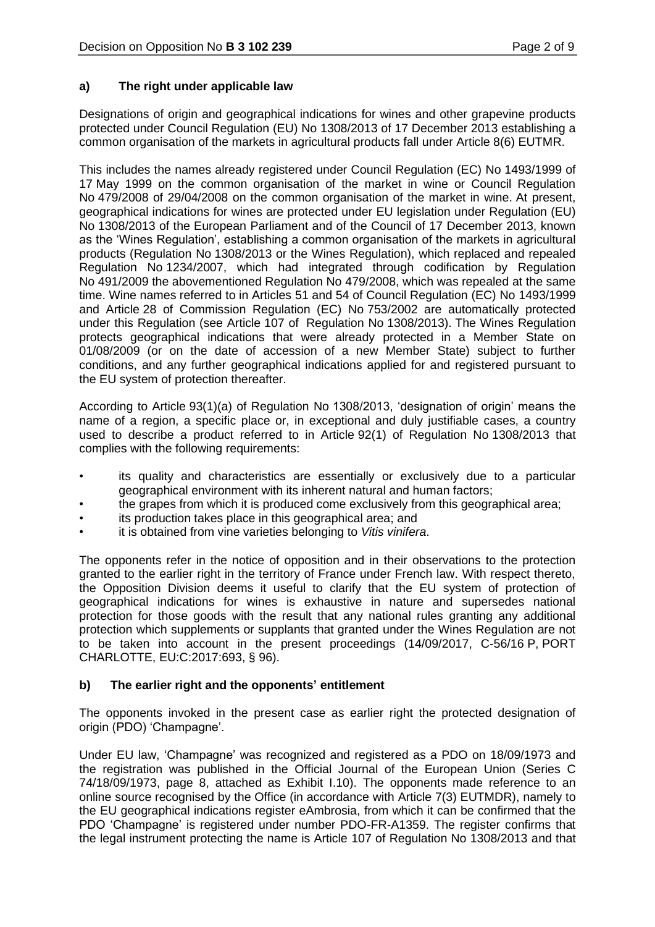## **a) The right under applicable law**

Designations of origin and geographical indications for wines and other grapevine products protected under Council Regulation (EU) No 1308/2013 of 17 December 2013 establishing a common organisation of the markets in agricultural products fall under Article 8(6) EUTMR.

This includes the names already registered under Council Regulation (EC) No 1493/1999 of 17 May 1999 on the common organisation of the market in wine or Council Regulation No 479/2008 of 29/04/2008 on the common organisation of the market in wine. At present, geographical indications for wines are protected under EU legislation under Regulation (EU) No 1308/2013 of the European Parliament and of the Council of 17 December 2013, known as the 'Wines Regulation', establishing a common organisation of the markets in agricultural products (Regulation No 1308/2013 or the Wines Regulation), which replaced and repealed Regulation No 1234/2007, which had integrated through codification by Regulation No 491/2009 the abovementioned Regulation No 479/2008, which was repealed at the same time. Wine names referred to in Articles 51 and 54 of Council Regulation (EC) No 1493/1999 and Article 28 of Commission Regulation (EC) No 753/2002 are automatically protected under this Regulation (see Article 107 of Regulation No 1308/2013). The Wines Regulation protects geographical indications that were already protected in a Member State on 01/08/2009 (or on the date of accession of a new Member State) subject to further conditions, and any further geographical indications applied for and registered pursuant to the EU system of protection thereafter.

According to Article 93(1)(a) of Regulation No 1308/2013, 'designation of origin' means the name of a region, a specific place or, in exceptional and duly justifiable cases, a country used to describe a product referred to in Article 92(1) of Regulation No 1308/2013 that complies with the following requirements:

- its quality and characteristics are essentially or exclusively due to a particular geographical environment with its inherent natural and human factors;
- the grapes from which it is produced come exclusively from this geographical area;
- its production takes place in this geographical area; and
- it is obtained from vine varieties belonging to *Vitis vinifera*.

The opponents refer in the notice of opposition and in their observations to the protection granted to the earlier right in the territory of France under French law. With respect thereto, the Opposition Division deems it useful to clarify that the EU system of protection of geographical indications for wines is exhaustive in nature and supersedes national protection for those goods with the result that any national rules granting any additional protection which supplements or supplants that granted under the Wines Regulation are not to be taken into account in the present proceedings (14/09/2017, C-56/16 P, PORT CHARLOTTE, EU:C:2017:693, § 96).

# **b) The earlier right and the opponents' entitlement**

The opponents invoked in the present case as earlier right the protected designation of origin (PDO) 'Champagne'.

Under EU law, 'Champagne' was recognized and registered as a PDO on 18/09/1973 and the registration was published in the Official Journal of the European Union (Series C 74/18/09/1973, page 8, attached as Exhibit I.10). The opponents made reference to an online source recognised by the Office (in accordance with Article 7(3) EUTMDR), namely to the EU geographical indications register eAmbrosia, from which it can be confirmed that the PDO 'Champagne' is registered under number PDO-FR-A1359. The register confirms that the legal instrument protecting the name is Article 107 of Regulation No 1308/2013 and that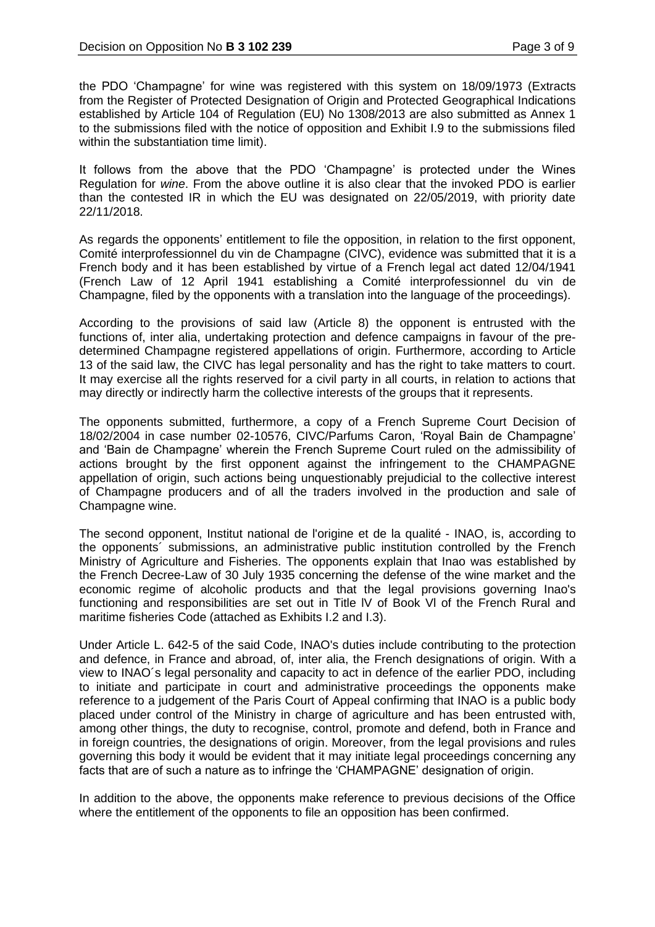the PDO 'Champagne' for wine was registered with this system on 18/09/1973 (Extracts from the Register of Protected Designation of Origin and Protected Geographical Indications established by Article 104 of Regulation (EU) No 1308/2013 are also submitted as Annex 1 to the submissions filed with the notice of opposition and Exhibit I.9 to the submissions filed within the substantiation time limit).

It follows from the above that the PDO 'Champagne' is protected under the Wines Regulation for *wine*. From the above outline it is also clear that the invoked PDO is earlier than the contested IR in which the EU was designated on 22/05/2019, with priority date 22/11/2018.

As regards the opponents' entitlement to file the opposition, in relation to the first opponent, Comité interprofessionnel du vin de Champagne (CIVC), evidence was submitted that it is a French body and it has been established by virtue of a French legal act dated 12/04/1941 (French Law of 12 April 1941 establishing a Comité interprofessionnel du vin de Champagne, filed by the opponents with a translation into the language of the proceedings).

According to the provisions of said law (Article 8) the opponent is entrusted with the functions of, inter alia, undertaking protection and defence campaigns in favour of the predetermined Champagne registered appellations of origin. Furthermore, according to Article 13 of the said law, the CIVC has legal personality and has the right to take matters to court. It may exercise all the rights reserved for a civil party in all courts, in relation to actions that may directly or indirectly harm the collective interests of the groups that it represents.

The opponents submitted, furthermore, a copy of a French Supreme Court Decision of 18/02/2004 in case number 02-10576, CIVC/Parfums Caron, 'Royal Bain de Champagne' and 'Bain de Champagne' wherein the French Supreme Court ruled on the admissibility of actions brought by the first opponent against the infringement to the CHAMPAGNE appellation of origin, such actions being unquestionably prejudicial to the collective interest of Champagne producers and of all the traders involved in the production and sale of Champagne wine.

The second opponent, Institut national de l'origine et de la qualité - INAO, is, according to the opponents´ submissions, an administrative public institution controlled by the French Ministry of Agriculture and Fisheries. The opponents explain that Inao was established by the French Decree-Law of 30 July 1935 concerning the defense of the wine market and the economic regime of alcoholic products and that the legal provisions governing Inao's functioning and responsibilities are set out in Title lV of Book Vl of the French Rural and maritime fisheries Code (attached as Exhibits I.2 and I.3).

Under Article L. 642-5 of the said Code, INAO's duties include contributing to the protection and defence, in France and abroad, of, inter alia, the French designations of origin. With a view to INAO´s legal personality and capacity to act in defence of the earlier PDO, including to initiate and participate in court and administrative proceedings the opponents make reference to a judgement of the Paris Court of Appeal confirming that INAO is a public body placed under control of the Ministry in charge of agriculture and has been entrusted with, among other things, the duty to recognise, control, promote and defend, both in France and in foreign countries, the designations of origin. Moreover, from the legal provisions and rules governing this body it would be evident that it may initiate legal proceedings concerning any facts that are of such a nature as to infringe the 'CHAMPAGNE' designation of origin.

In addition to the above, the opponents make reference to previous decisions of the Office where the entitlement of the opponents to file an opposition has been confirmed.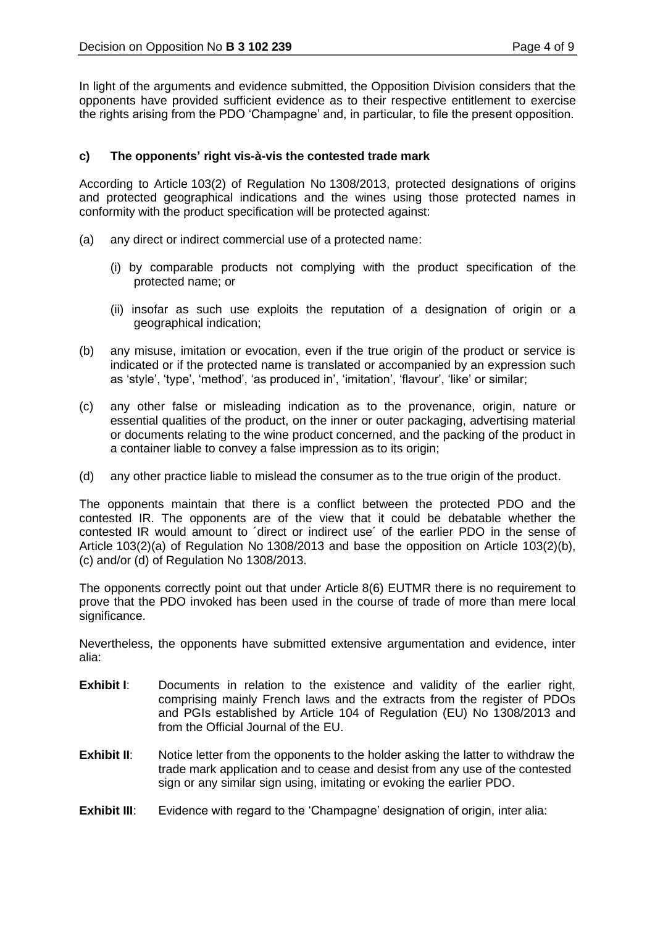In light of the arguments and evidence submitted, the Opposition Division considers that the opponents have provided sufficient evidence as to their respective entitlement to exercise the rights arising from the PDO 'Champagne' and, in particular, to file the present opposition.

## **c) The opponents' right vis-à-vis the contested trade mark**

According to Article 103(2) of Regulation No 1308/2013, protected designations of origins and protected geographical indications and the wines using those protected names in conformity with the product specification will be protected against:

- (a) any direct or indirect commercial use of a protected name:
	- (i) by comparable products not complying with the product specification of the protected name; or
	- (ii) insofar as such use exploits the reputation of a designation of origin or a geographical indication;
- (b) any misuse, imitation or evocation, even if the true origin of the product or service is indicated or if the protected name is translated or accompanied by an expression such as 'style', 'type', 'method', 'as produced in', 'imitation', 'flavour', 'like' or similar;
- (c) any other false or misleading indication as to the provenance, origin, nature or essential qualities of the product, on the inner or outer packaging, advertising material or documents relating to the wine product concerned, and the packing of the product in a container liable to convey a false impression as to its origin;
- (d) any other practice liable to mislead the consumer as to the true origin of the product.

The opponents maintain that there is a conflict between the protected PDO and the contested IR. The opponents are of the view that it could be debatable whether the contested IR would amount to ´direct or indirect use´ of the earlier PDO in the sense of Article 103(2)(a) of Regulation No 1308/2013 and base the opposition on Article 103(2)(b), (c) and/or (d) of Regulation No 1308/2013.

The opponents correctly point out that under Article 8(6) EUTMR there is no requirement to prove that the PDO invoked has been used in the course of trade of more than mere local significance.

Nevertheless, the opponents have submitted extensive argumentation and evidence, inter alia:

- **Exhibit I:** Documents in relation to the existence and validity of the earlier right, comprising mainly French laws and the extracts from the register of PDOs and PGIs established by Article 104 of Regulation (EU) No 1308/2013 and from the Official Journal of the EU.
- **Exhibit II:** Notice letter from the opponents to the holder asking the latter to withdraw the trade mark application and to cease and desist from any use of the contested sign or any similar sign using, imitating or evoking the earlier PDO.
- **Exhibit III:** Evidence with regard to the 'Champagne' designation of origin, inter alia: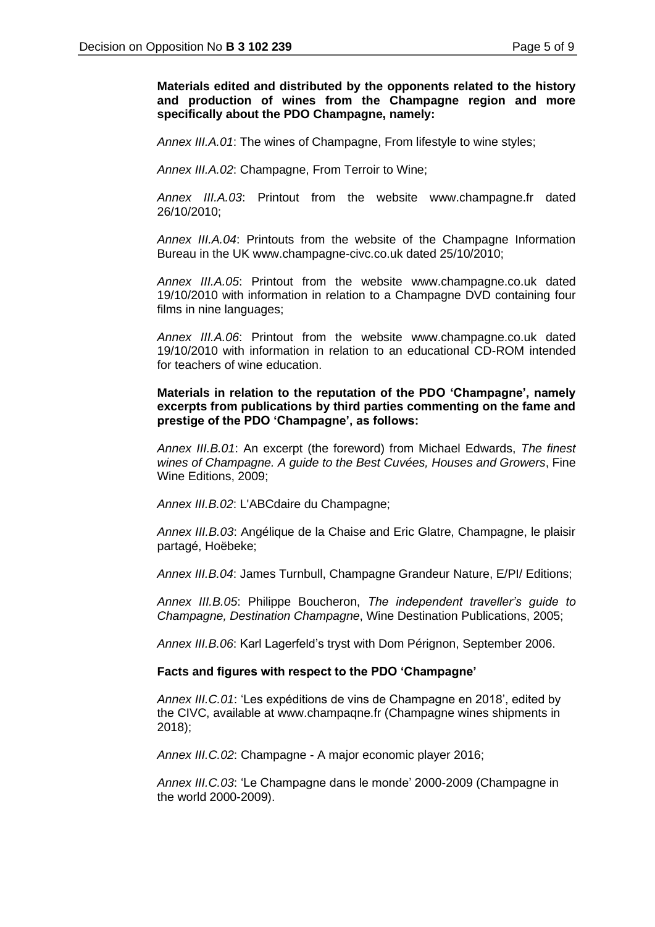## **Materials edited and distributed by the opponents related to the history and production of wines from the Champagne region and more specifically about the PDO Champagne, namely:**

*Annex III.A.01*: The wines of Champagne, From lifestyle to wine styles;

*Annex III.A.02*: Champagne, From Terroir to Wine;

*Annex III.A.03*: Printout from the website www.champagne.fr dated 26/10/2010;

*Annex III.A.04*: Printouts from the website of the Champagne Information Bureau in the UK www.champagne-civc.co.uk dated 25/10/2010;

*Annex III.A.05*: Printout from the website www.champagne.co.uk dated 19/10/2010 with information in relation to a Champagne DVD containing four films in nine languages;

*Annex III.A.06*: Printout from the website www.champagne.co.uk dated 19/10/2010 with information in relation to an educational CD-ROM intended for teachers of wine education.

### **Materials in relation to the reputation of the PDO 'Champagne', namely excerpts from publications by third parties commenting on the fame and prestige of the PDO 'Champagne', as follows:**

*Annex III.B.01*: An excerpt (the foreword) from Michael Edwards, *The finest wines of Champagne. A guide to the Best Cuvées, Houses and Growers*, Fine Wine Editions, 2009;

*Annex III.B.02*: L'ABCdaire du Champagne;

*Annex III.B.03*: Angélique de la Chaise and Eric Glatre, Champagne, le plaisir partagé, Hoëbeke;

*Annex III.B.04*: James Turnbull, Champagne Grandeur Nature, E/PI/ Editions;

*Annex III.B.05*: Philippe Boucheron, *The independent traveller's guide to Champagne, Destination Champagne*, Wine Destination Publications, 2005;

*Annex III.B.06*: Karl Lagerfeld's tryst with Dom Pérignon, September 2006.

#### **Facts and figures with respect to the PDO 'Champagne'**

*Annex III.C.01*: 'Les expéditions de vins de Champagne en 2018', edited by the CIVC, available at www.champaqne.fr (Champagne wines shipments in 2018);

*Annex III.C.02*: Champagne - A major economic player 2016;

*Annex III.C.03*: 'Le Champagne dans le monde' 2000-2009 (Champagne in the world 2000-2009).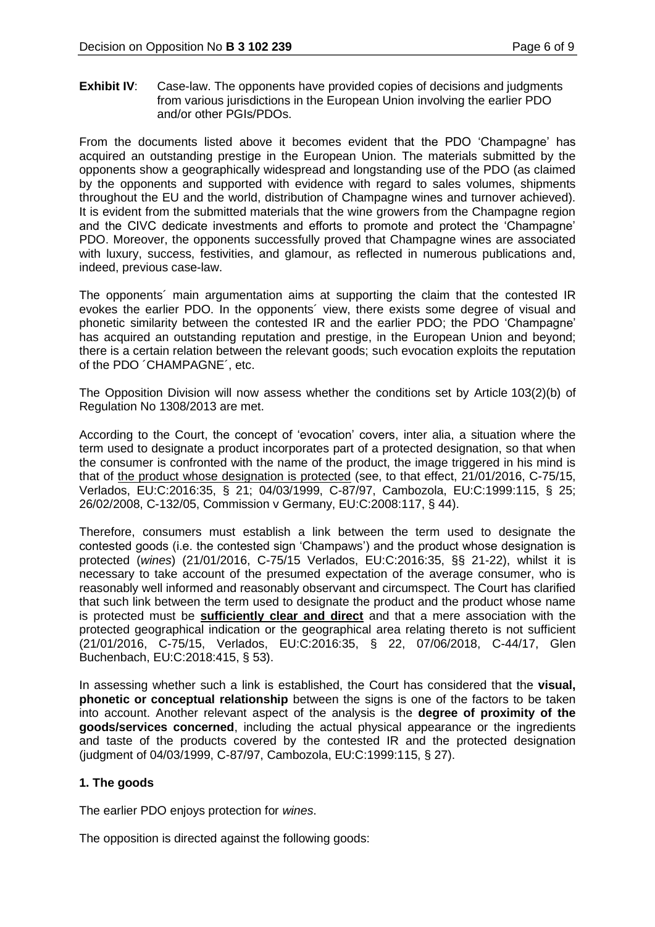**Exhibit IV:** Case-law. The opponents have provided copies of decisions and judgments from various jurisdictions in the European Union involving the earlier PDO and/or other PGIs/PDOs.

From the documents listed above it becomes evident that the PDO 'Champagne' has acquired an outstanding prestige in the European Union. The materials submitted by the opponents show a geographically widespread and longstanding use of the PDO (as claimed by the opponents and supported with evidence with regard to sales volumes, shipments throughout the EU and the world, distribution of Champagne wines and turnover achieved). It is evident from the submitted materials that the wine growers from the Champagne region and the CIVC dedicate investments and efforts to promote and protect the 'Champagne' PDO. Moreover, the opponents successfully proved that Champagne wines are associated with luxury, success, festivities, and glamour, as reflected in numerous publications and, indeed, previous case-law.

The opponents´ main argumentation aims at supporting the claim that the contested IR evokes the earlier PDO. In the opponents´ view, there exists some degree of visual and phonetic similarity between the contested IR and the earlier PDO; the PDO 'Champagne' has acquired an outstanding reputation and prestige, in the European Union and beyond; there is a certain relation between the relevant goods; such evocation exploits the reputation of the PDO ´CHAMPAGNE´, etc.

The Opposition Division will now assess whether the conditions set by Article 103(2)(b) of Regulation No 1308/2013 are met.

According to the Court, the concept of 'evocation' covers, inter alia, a situation where the term used to designate a product incorporates part of a protected designation, so that when the consumer is confronted with the name of the product, the image triggered in his mind is that of the product whose designation is protected (see, to that effect, 21/01/2016, C-75/15, Verlados, EU:C:2016:35, § 21; 04/03/1999, C-87/97, Cambozola, EU:C:1999:115, § 25; 26/02/2008, C-132/05, Commission v Germany, EU:C:2008:117, § 44).

Therefore, consumers must establish a link between the term used to designate the contested goods (i.e. the contested sign 'Champaws') and the product whose designation is protected (*wines*) (21/01/2016, C-75/15 Verlados, EU:C:2016:35, §§ 21-22), whilst it is necessary to take account of the presumed expectation of the average consumer, who is reasonably well informed and reasonably observant and circumspect. The Court has clarified that such link between the term used to designate the product and the product whose name is protected must be **sufficiently clear and direct** and that a mere association with the protected geographical indication or the geographical area relating thereto is not sufficient (21/01/2016, C-75/15, Verlados, EU:C:2016:35, § 22, 07/06/2018, C-44/17, Glen Buchenbach, EU:C:2018:415, § 53).

In assessing whether such a link is established, the Court has considered that the **visual, phonetic or conceptual relationship** between the signs is one of the factors to be taken into account. Another relevant aspect of the analysis is the **degree of proximity of the goods/services concerned**, including the actual physical appearance or the ingredients and taste of the products covered by the contested IR and the protected designation (judgment of 04/03/1999, C-87/97, Cambozola, EU:C:1999:115, § 27).

# **1. The goods**

The earlier PDO enjoys protection for *wines*.

The opposition is directed against the following goods: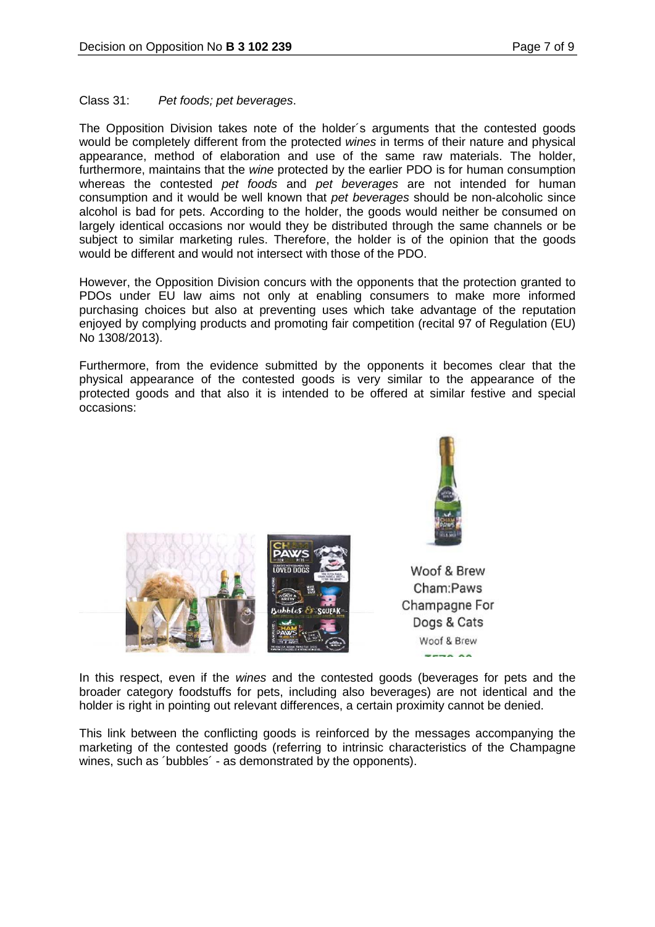## Class 31: *Pet foods; pet beverages*.

The Opposition Division takes note of the holder´s arguments that the contested goods would be completely different from the protected *wines* in terms of their nature and physical appearance, method of elaboration and use of the same raw materials. The holder, furthermore, maintains that the *wine* protected by the earlier PDO is for human consumption whereas the contested *pet foods* and *pet beverages* are not intended for human consumption and it would be well known that *pet beverages* should be non-alcoholic since alcohol is bad for pets. According to the holder, the goods would neither be consumed on largely identical occasions nor would they be distributed through the same channels or be subject to similar marketing rules. Therefore, the holder is of the opinion that the goods would be different and would not intersect with those of the PDO.

However, the Opposition Division concurs with the opponents that the protection granted to PDOs under EU law aims not only at enabling consumers to make more informed purchasing choices but also at preventing uses which take advantage of the reputation enjoyed by complying products and promoting fair competition (recital 97 of Regulation (EU) No 1308/2013).

Furthermore, from the evidence submitted by the opponents it becomes clear that the physical appearance of the contested goods is very similar to the appearance of the protected goods and that also it is intended to be offered at similar festive and special occasions:





Woof & Brew Cham:Paws Champagne For Dogs & Cats Woof & Brew  $---a$ 

In this respect, even if the *wines* and the contested goods (beverages for pets and the broader category foodstuffs for pets, including also beverages) are not identical and the holder is right in pointing out relevant differences, a certain proximity cannot be denied.

This link between the conflicting goods is reinforced by the messages accompanying the marketing of the contested goods (referring to intrinsic characteristics of the Champagne wines, such as 'bubbles' - as demonstrated by the opponents).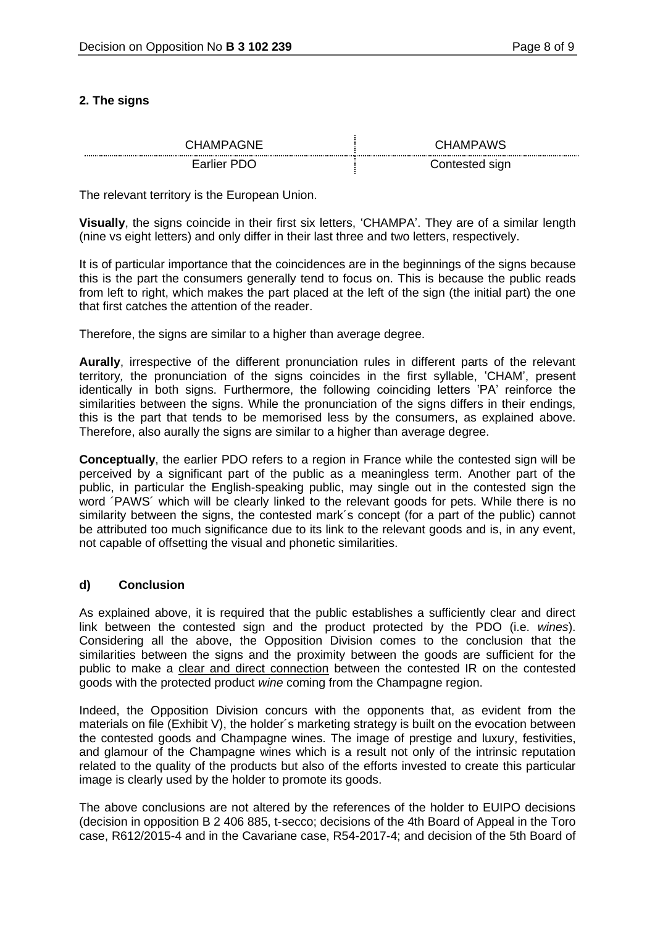# **2. The signs**

| CHAMPAGNE<br>------<br> | <b>IAMPAWS</b><br>٠н.<br> |
|-------------------------|---------------------------|
| PD K<br>-arlier         | Contested sign            |

The relevant territory is the European Union.

**Visually**, the signs coincide in their first six letters, 'CHAMPA'. They are of a similar length (nine vs eight letters) and only differ in their last three and two letters, respectively.

It is of particular importance that the coincidences are in the beginnings of the signs because this is the part the consumers generally tend to focus on. This is because the public reads from left to right, which makes the part placed at the left of the sign (the initial part) the one that first catches the attention of the reader.

Therefore, the signs are similar to a higher than average degree.

**Aurally**, irrespective of the different pronunciation rules in different parts of the relevant territory*,* the pronunciation of the signs coincides in the first syllable, 'CHAM', present identically in both signs. Furthermore, the following coinciding letters 'PA' reinforce the similarities between the signs. While the pronunciation of the signs differs in their endings, this is the part that tends to be memorised less by the consumers, as explained above. Therefore, also aurally the signs are similar to a higher than average degree.

**Conceptually**, the earlier PDO refers to a region in France while the contested sign will be perceived by a significant part of the public as a meaningless term. Another part of the public, in particular the English-speaking public, may single out in the contested sign the word ´PAWS´ which will be clearly linked to the relevant goods for pets. While there is no similarity between the signs, the contested mark's concept (for a part of the public) cannot be attributed too much significance due to its link to the relevant goods and is, in any event, not capable of offsetting the visual and phonetic similarities.

## **d) Conclusion**

As explained above, it is required that the public establishes a sufficiently clear and direct link between the contested sign and the product protected by the PDO (i.e. *wines*). Considering all the above, the Opposition Division comes to the conclusion that the similarities between the signs and the proximity between the goods are sufficient for the public to make a clear and direct connection between the contested IR on the contested goods with the protected product *wine* coming from the Champagne region.

Indeed, the Opposition Division concurs with the opponents that, as evident from the materials on file (Exhibit V), the holder´s marketing strategy is built on the evocation between the contested goods and Champagne wines. The image of prestige and luxury, festivities, and glamour of the Champagne wines which is a result not only of the intrinsic reputation related to the quality of the products but also of the efforts invested to create this particular image is clearly used by the holder to promote its goods.

The above conclusions are not altered by the references of the holder to EUIPO decisions (decision in opposition B 2 406 885, t-secco; decisions of the 4th Board of Appeal in the Toro case, R612/2015-4 and in the Cavariane case, R54-2017-4; and decision of the 5th Board of